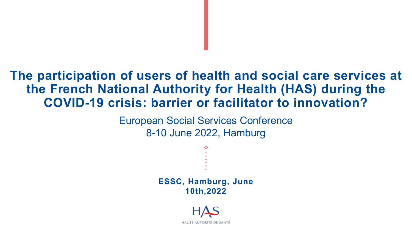### **The participation of users of health and social care services at the French National Authority for Health (HAS) during the COVID-19 crisis: barrier or facilitator to innovation?**

European Social Services Conference 8-10 June 2022, Hamburg

> **ESSC, Hamburg, June 10th,2022**

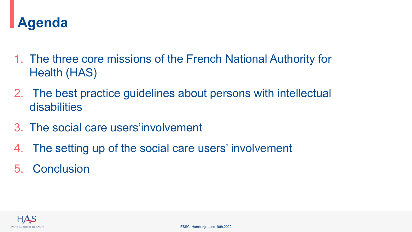

- 1. The three core missions of the French National Authority for Health (HAS)
- 2. The best practice guidelines about persons with intellectual disabilities
- 3. The social care users'involvement
- 4. The setting up of the social care users' involvement
- 5. Conclusion

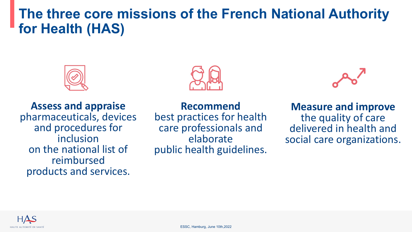### **The three core missions of the French National Authority for Health (HAS)**





**Assess and appraise** pharmaceuticals, devices and procedures for inclusion on the national list of reimbursed products and services.

**Recommend** best practices for health care professionals and elaborate public health guidelines.



**Measure and improve**  the quality of care delivered in health and social care organizations.

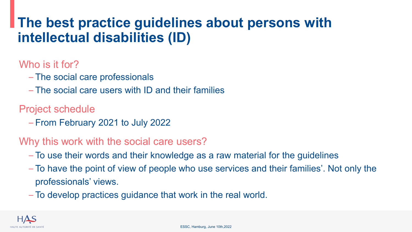### **The best practice guidelines about persons with intellectual disabilities (ID)**

### Who is it for?

- The social care professionals
- The social care users with ID and their families

#### Project schedule

– From February 2021 to July 2022

#### Why this work with the social care users?

- To use their words and their knowledge as a raw material for the guidelines
- To have the point of view of people who use services and their families'. Not only the professionals' views.
- To develop practices guidance that work in the real world.

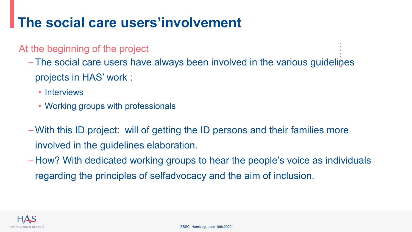# **The social care users'involvement**

#### At the beginning of the project

- The social care users have always been involved in the various guidelines projects in HAS' work :
	- Interviews
	- Working groups with professionals
- With this ID project: will of getting the ID persons and their families more involved in the guidelines elaboration.
- How? With dedicated working groups to hear the people's voice as individuals regarding the principles of selfadvocacy and the aim of inclusion.

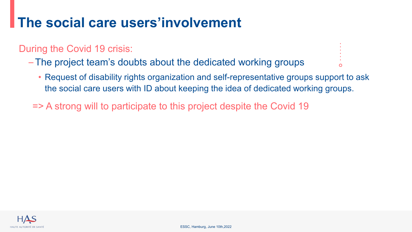## **The social care users'involvement**

#### During the Covid 19 crisis:

- The project team's doubts about the dedicated working groups
	- Request of disability rights organization and self-representative groups support to ask the social care users with ID about keeping the idea of dedicated working groups.
	- => A strong will to participate to this project despite the Covid 19

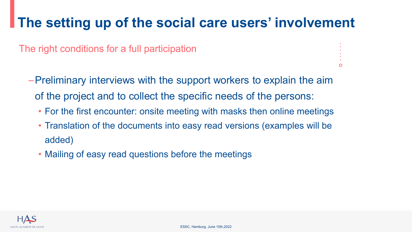# **The setting up of the social care users' involvement**

The right conditions for a full participation

- –Preliminary interviews with the support workers to explain the aim of the project and to collect the specific needs of the persons:
	- For the first encounter: onsite meeting with masks then online meetings
	- Translation of the documents into easy read versions (examples will be added)
	- Mailing of easy read questions before the meetings

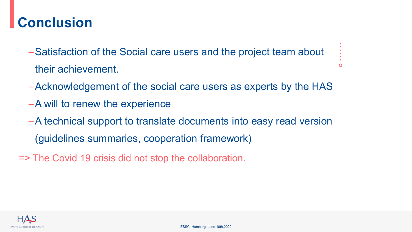## **Conclusion**

- –Satisfaction of the Social care users and the project team about their achievement.
- –Acknowledgement of the social care users as experts by the HAS

 $\circ$ 

- –A will to renew the experience
- –A technical support to translate documents into easy read version (guidelines summaries, cooperation framework)
- => The Covid 19 crisis did not stop the collaboration.